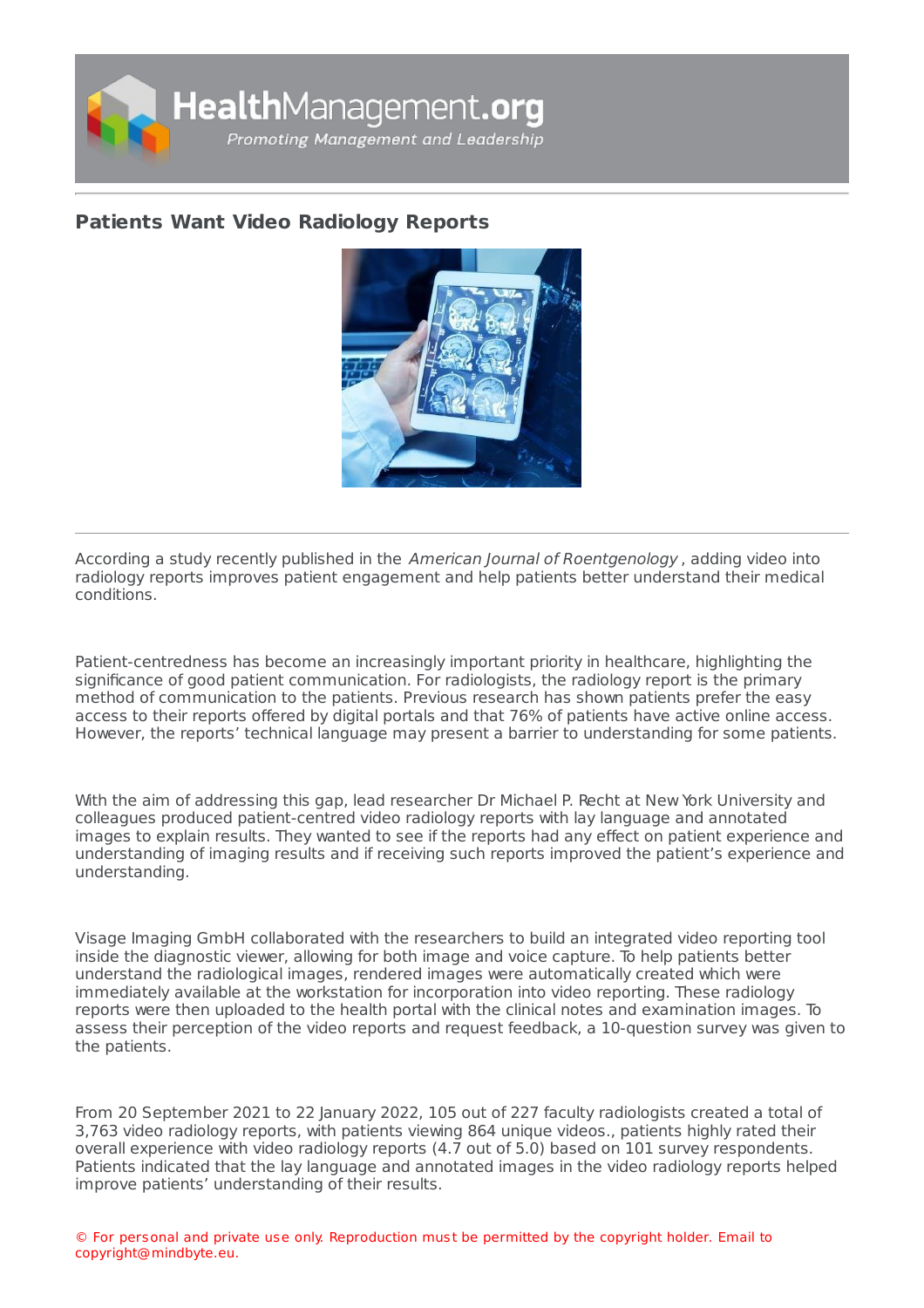

## **Patients Want Video [Radiology](https://healthmanagement.org/s/patients-want-video-radiology-reports) Reports**



According a study recently published in the American Journal of Roentgenology , adding video into radiology reports improves patient engagement and help patients better understand their medical conditions.

Patient-centredness has become an increasingly important priority in healthcare, highlighting the significance of good patient communication. For radiologists, the radiology report is the primary method of communication to the patients. Previous research has shown patients prefer the easy access to their reports offered by digital portals and that 76% of patients have active online access. However, the reports' technical language may present a barrier to understanding for some patients.

With the aim of addressing this gap, lead researcher Dr Michael P. Recht at New York University and colleagues produced patient-centred video radiology reports with lay language and annotated images to explain results. They wanted to see if the reports had any effect on patient experience and understanding of imaging results and if receiving such reports improved the patient's experience and understanding.

Visage Imaging GmbH collaborated with the researchers to build an integrated video reporting tool inside the diagnostic viewer, allowing for both image and voice capture. To help patients better understand the radiological images, rendered images were automatically created which were immediately available at the workstation for incorporation into video reporting. These radiology reports were then uploaded to the health portal with the clinical notes and examination images. To assess their perception of the video reports and request feedback, a 10-question survey was given to the patients.

From 20 September 2021 to 22 January 2022, 105 out of 227 faculty radiologists created a total of 3,763 video radiology reports, with patients viewing 864 unique videos., patients highly rated their overall experience with video radiology reports (4.7 out of 5.0) based on 101 survey respondents. Patients indicated that the lay language and annotated images in the video radiology reports helped improve patients' understanding of their results.